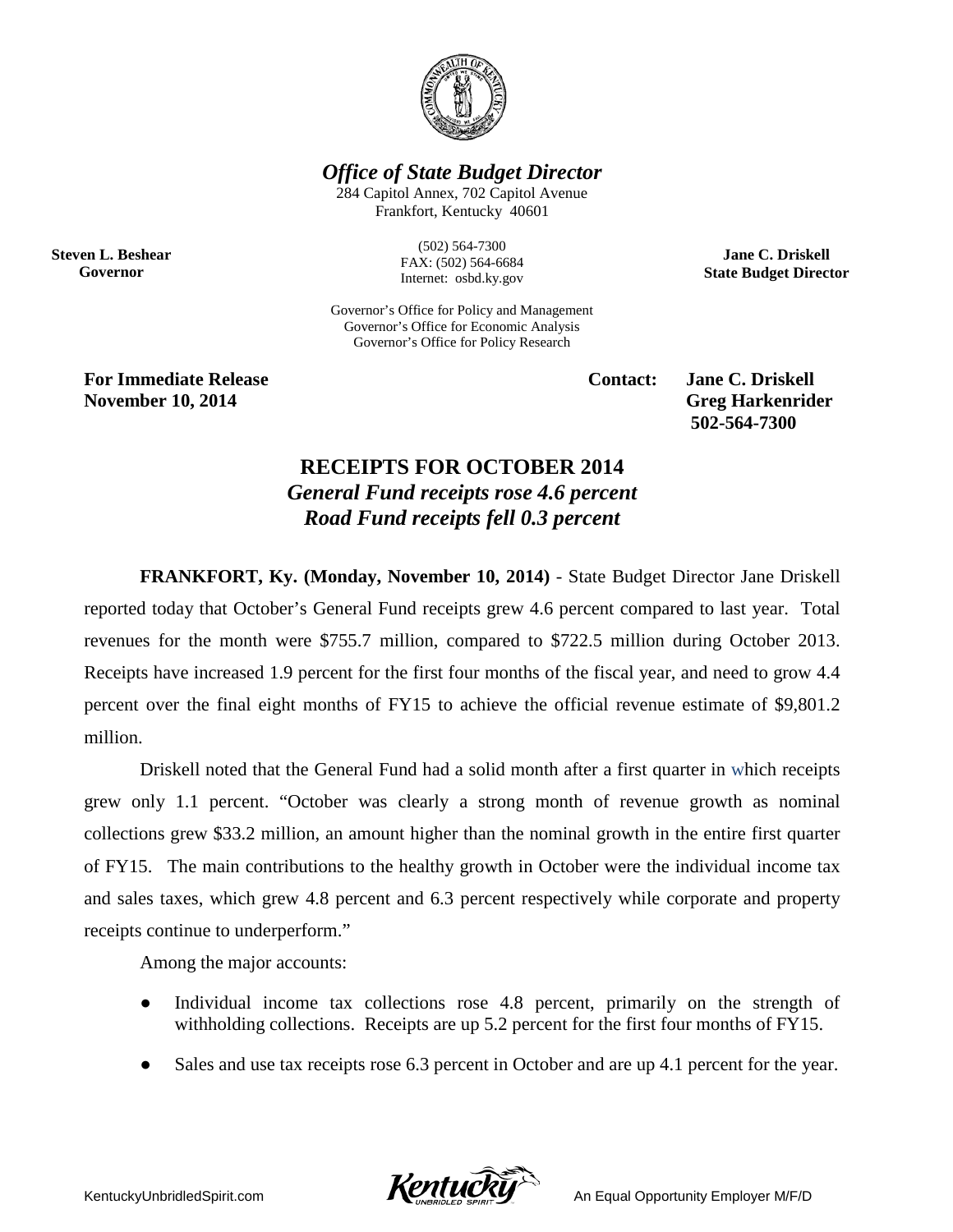

*Office of State Budget Director*

284 Capitol Annex, 702 Capitol Avenue Frankfort, Kentucky 40601

**Steven L. Beshear Governor**

(502) 564-7300 FAX: (502) 564-6684 Internet: osbd.ky.gov

Governor's Office for Policy and Management Governor's Office for Economic Analysis Governor's Office for Policy Research

**For Immediate Release Contact: Jane C. Driskell November 10, 2014** Greg Harkenrider

**502-564-7300** 

**Jane C. Driskell State Budget Director**

## **RECEIPTS FOR OCTOBER 2014** *General Fund receipts rose 4.6 percent Road Fund receipts fell 0.3 percent*

**FRANKFORT, Ky. (Monday, November 10, 2014)** - State Budget Director Jane Driskell reported today that October's General Fund receipts grew 4.6 percent compared to last year. Total revenues for the month were \$755.7 million, compared to \$722.5 million during October 2013. Receipts have increased 1.9 percent for the first four months of the fiscal year, and need to grow 4.4 percent over the final eight months of FY15 to achieve the official revenue estimate of \$9,801.2 million.

Driskell noted that the General Fund had a solid month after a first quarter in which receipts grew only 1.1 percent. "October was clearly a strong month of revenue growth as nominal collections grew \$33.2 million, an amount higher than the nominal growth in the entire first quarter of FY15. The main contributions to the healthy growth in October were the individual income tax and sales taxes, which grew 4.8 percent and 6.3 percent respectively while corporate and property receipts continue to underperform."

Among the major accounts:

- Individual income tax collections rose 4.8 percent, primarily on the strength of withholding collections. Receipts are up 5.2 percent for the first four months of FY15.
- Sales and use tax receipts rose 6.3 percent in October and are up 4.1 percent for the year.

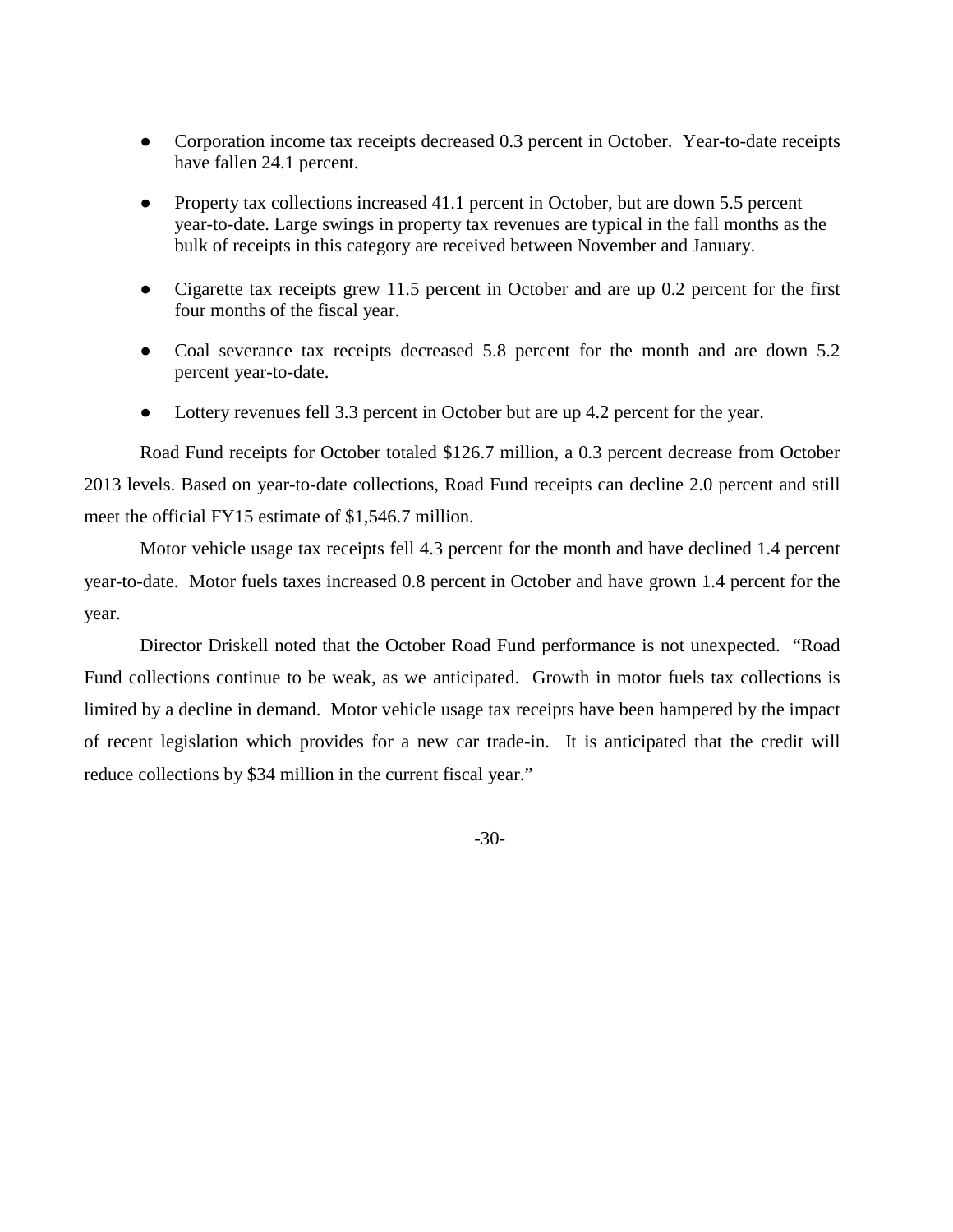- Corporation income tax receipts decreased 0.3 percent in October. Year-to-date receipts have fallen 24.1 percent.
- Property tax collections increased 41.1 percent in October, but are down 5.5 percent year-to-date. Large swings in property tax revenues are typical in the fall months as the bulk of receipts in this category are received between November and January.
- Cigarette tax receipts grew 11.5 percent in October and are up 0.2 percent for the first four months of the fiscal year.
- Coal severance tax receipts decreased 5.8 percent for the month and are down 5.2 percent year-to-date.
- Lottery revenues fell 3.3 percent in October but are up 4.2 percent for the year.

Road Fund receipts for October totaled \$126.7 million, a 0.3 percent decrease from October 2013 levels. Based on year-to-date collections, Road Fund receipts can decline 2.0 percent and still meet the official FY15 estimate of \$1,546.7 million.

Motor vehicle usage tax receipts fell 4.3 percent for the month and have declined 1.4 percent year-to-date. Motor fuels taxes increased 0.8 percent in October and have grown 1.4 percent for the year.

Director Driskell noted that the October Road Fund performance is not unexpected. "Road Fund collections continue to be weak, as we anticipated. Growth in motor fuels tax collections is limited by a decline in demand. Motor vehicle usage tax receipts have been hampered by the impact of recent legislation which provides for a new car trade-in. It is anticipated that the credit will reduce collections by \$34 million in the current fiscal year."

-30-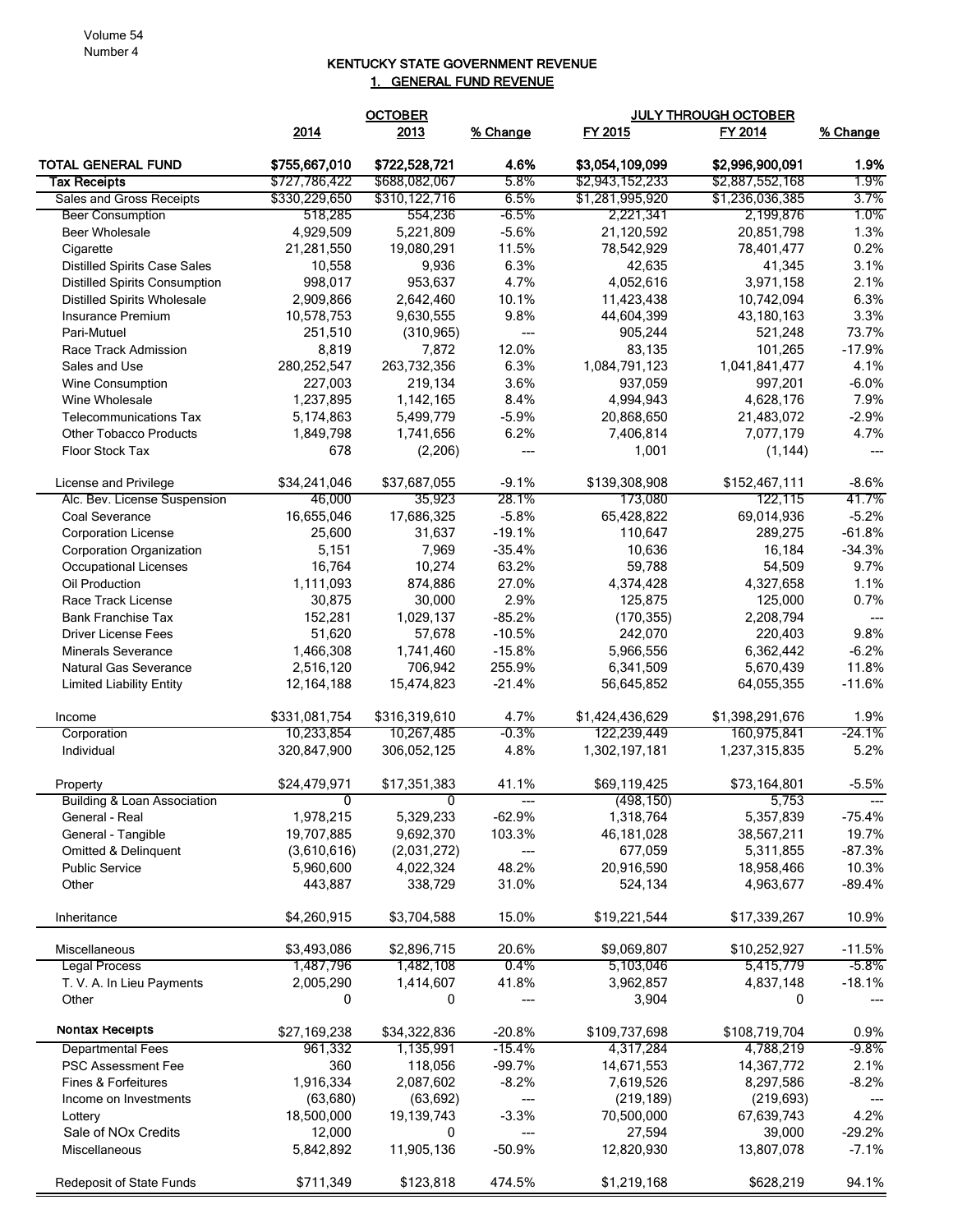## KENTUCKY STATE GOVERNMENT REVENUE 1. GENERAL FUND REVENUE

|                                                         | <b>OCTOBER</b>      |                      |                          | JULY THROUGH OCTOBER |                      |                      |
|---------------------------------------------------------|---------------------|----------------------|--------------------------|----------------------|----------------------|----------------------|
|                                                         | 2014                | 2013                 | % Change                 | FY 2015              | FY 2014              | % Change             |
| <b>TOTAL GENERAL FUND</b>                               | \$755,667,010       | \$722,528,721        | 4.6%                     | \$3,054,109,099      | \$2,996,900,091      | 1.9%                 |
| <b>Tax Receipts</b>                                     | \$727,786,422       | \$688,082,067        | 5.8%                     | \$2,943,152,233      | \$2,887,552,168      | 1.9%                 |
| Sales and Gross Receipts                                | \$330,229,650       | \$310,122,716        | 6.5%                     | \$1,281,995,920      | \$1,236,036,385      | 3.7%                 |
| <b>Beer Consumption</b>                                 | 518,285             | 554,236              | $-6.5%$                  | 2,221,341            | 2,199,876            | 1.0%                 |
| <b>Beer Wholesale</b>                                   | 4,929,509           | 5,221,809            | $-5.6%$                  | 21,120,592           | 20,851,798           | 1.3%                 |
| Cigarette                                               | 21,281,550          | 19,080,291           | 11.5%                    | 78,542,929           | 78,401,477           | 0.2%                 |
| <b>Distilled Spirits Case Sales</b>                     | 10,558              | 9,936                | 6.3%                     | 42,635               | 41,345               | 3.1%                 |
| <b>Distilled Spirits Consumption</b>                    | 998,017             | 953,637              | 4.7%                     | 4,052,616            | 3,971,158            | 2.1%                 |
| <b>Distilled Spirits Wholesale</b>                      | 2,909,866           | 2,642,460            | 10.1%                    | 11,423,438           | 10,742,094           | 6.3%                 |
| Insurance Premium                                       | 10,578,753          | 9,630,555            | 9.8%                     | 44,604,399           | 43,180,163           | 3.3%                 |
| Pari-Mutuel                                             | 251,510             | (310, 965)           | ---                      | 905,244              | 521,248              | 73.7%                |
| Race Track Admission                                    | 8,819               | 7,872                | 12.0%                    | 83,135               | 101,265              | $-17.9%$             |
| Sales and Use                                           | 280,252,547         | 263,732,356          | 6.3%                     | 1,084,791,123        | 1,041,841,477        | 4.1%                 |
| <b>Wine Consumption</b>                                 | 227,003             | 219,134              | 3.6%                     | 937,059              | 997,201              | $-6.0%$              |
| Wine Wholesale                                          | 1,237,895           | 1,142,165            | 8.4%                     | 4,994,943            | 4,628,176            | 7.9%                 |
| <b>Telecommunications Tax</b>                           | 5,174,863           | 5,499,779            | $-5.9%$                  | 20,868,650           | 21,483,072           | $-2.9%$              |
| <b>Other Tobacco Products</b>                           | 1,849,798           | 1,741,656            | 6.2%                     | 7,406,814            | 7,077,179            | 4.7%                 |
| Floor Stock Tax                                         | 678                 | (2, 206)             | ---                      | 1,001                | (1, 144)             | $---$                |
|                                                         |                     |                      |                          |                      |                      |                      |
| License and Privilege                                   | \$34,241,046        | \$37,687,055         | $-9.1%$<br>28.1%         | \$139,308,908        | \$152,467,111        | $-8.6%$              |
| Alc. Bev. License Suspension                            | 46,000              | 35,923               |                          | 173,080              | 122,115              | 41.7%                |
| Coal Severance                                          | 16,655,046          | 17,686,325           | $-5.8%$                  | 65,428,822           | 69,014,936           | $-5.2%$              |
| <b>Corporation License</b>                              | 25,600              | 31,637               | $-19.1%$                 | 110,647              | 289,275              | $-61.8%$<br>$-34.3%$ |
| <b>Corporation Organization</b>                         | 5,151               | 7,969                | $-35.4%$                 | 10,636               | 16,184               |                      |
| <b>Occupational Licenses</b><br>Oil Production          | 16,764              | 10,274               | 63.2%<br>27.0%           | 59,788               | 54,509               | 9.7%<br>1.1%         |
| Race Track License                                      | 1,111,093<br>30,875 | 874,886<br>30,000    | 2.9%                     | 4,374,428<br>125,875 | 4,327,658<br>125,000 | 0.7%                 |
| <b>Bank Franchise Tax</b>                               | 152,281             | 1,029,137            | $-85.2%$                 | (170, 355)           | 2,208,794            |                      |
|                                                         | 51,620              | 57,678               | $-10.5%$                 | 242,070              | 220,403              | 9.8%                 |
| <b>Driver License Fees</b><br><b>Minerals Severance</b> | 1,466,308           |                      | $-15.8%$                 | 5,966,556            | 6,362,442            | $-6.2%$              |
| Natural Gas Severance                                   | 2,516,120           | 1,741,460<br>706,942 | 255.9%                   | 6,341,509            | 5,670,439            | 11.8%                |
| <b>Limited Liability Entity</b>                         | 12, 164, 188        | 15,474,823           | $-21.4%$                 | 56,645,852           | 64,055,355           | $-11.6%$             |
|                                                         |                     |                      |                          |                      |                      |                      |
| Income                                                  | \$331,081,754       | \$316,319,610        | 4.7%                     | \$1,424,436,629      | \$1,398,291,676      | 1.9%                 |
| Corporation                                             | 10,233,854          | 10,267,485           | $-0.3%$                  | 122,239,449          | 160,975,841          | -24.1%               |
| Individual                                              | 320,847,900         | 306,052,125          | 4.8%                     | 1,302,197,181        | 1,237,315,835        | 5.2%                 |
| Property                                                | \$24,479,971        | \$17,351,383         | 41.1%                    | \$69,119,425         | \$73,164,801         | $-5.5%$              |
| <b>Building &amp; Loan Association</b>                  | 0                   | 0                    |                          | (498, 150)           | 5,753                |                      |
| General - Real                                          | 1,978,215           | 5,329,233            | $-62.9%$                 | 1,318,764            | 5,357,839            | -75.4%               |
| General - Tangible                                      | 19,707,885          | 9,692,370            | 103.3%                   | 46,181,028           | 38,567,211           | 19.7%                |
| Omitted & Delinguent                                    | (3,610,616)         | (2,031,272)          | $\hspace{0.05cm} \ldots$ | 677,059              | 5,311,855            | $-87.3%$             |
| <b>Public Service</b>                                   | 5,960,600           | 4,022,324            | 48.2%                    | 20,916,590           | 18,958,466           | 10.3%                |
| Other                                                   | 443,887             | 338,729              | 31.0%                    | 524,134              | 4,963,677            | $-89.4%$             |
| Inheritance                                             | \$4,260,915         | \$3,704,588          | 15.0%                    | \$19,221,544         | \$17,339,267         | 10.9%                |
|                                                         |                     |                      |                          |                      |                      |                      |
| Miscellaneous                                           | \$3,493,086         | \$2,896,715          | 20.6%                    | \$9,069,807          | \$10,252,927         | $-11.5%$             |
| <b>Legal Process</b>                                    | 1,487,796           | 1,482,108            | 0.4%                     | 5,103,046            | 5,415,779            | $-5.8\%$             |
| T. V. A. In Lieu Payments                               | 2,005,290           | 1,414,607            | 41.8%                    | 3,962,857            | 4,837,148            | $-18.1%$             |
| Other                                                   | 0                   | 0                    | $\hspace{0.05cm} \ldots$ | 3,904                | 0                    |                      |
| <b>Nontax Receipts</b>                                  | \$27,169,238        | \$34,322,836         | $-20.8%$                 | \$109,737,698        | \$108,719,704        | 0.9%                 |
| <b>Departmental Fees</b>                                | 961,332             | 1,135,991            | -15.4%                   | 4,317,284            | 4,788,219            | $-9.8\%$             |
| <b>PSC Assessment Fee</b>                               | 360                 | 118,056              | $-99.7%$                 | 14,671,553           | 14,367,772           | 2.1%                 |
| Fines & Forfeitures                                     | 1,916,334           | 2,087,602            | $-8.2%$                  | 7,619,526            | 8,297,586            | $-8.2\%$             |
| Income on Investments                                   | (63, 680)           | (63, 692)            | $\hspace{0.05cm} \ldots$ | (219, 189)           | (219, 693)           |                      |
| Lottery                                                 | 18,500,000          | 19,139,743           | $-3.3%$                  | 70,500,000           | 67,639,743           | 4.2%                 |
| Sale of NO <sub>x</sub> Credits                         | 12,000              | 0                    | ---                      | 27,594               | 39,000               | $-29.2%$             |
| Miscellaneous                                           | 5,842,892           | 11,905,136           | $-50.9%$                 | 12,820,930           | 13,807,078           | $-7.1%$              |
| Redeposit of State Funds                                | \$711,349           | \$123,818            | 474.5%                   | \$1,219,168          | \$628,219            | 94.1%                |
|                                                         |                     |                      |                          |                      |                      |                      |